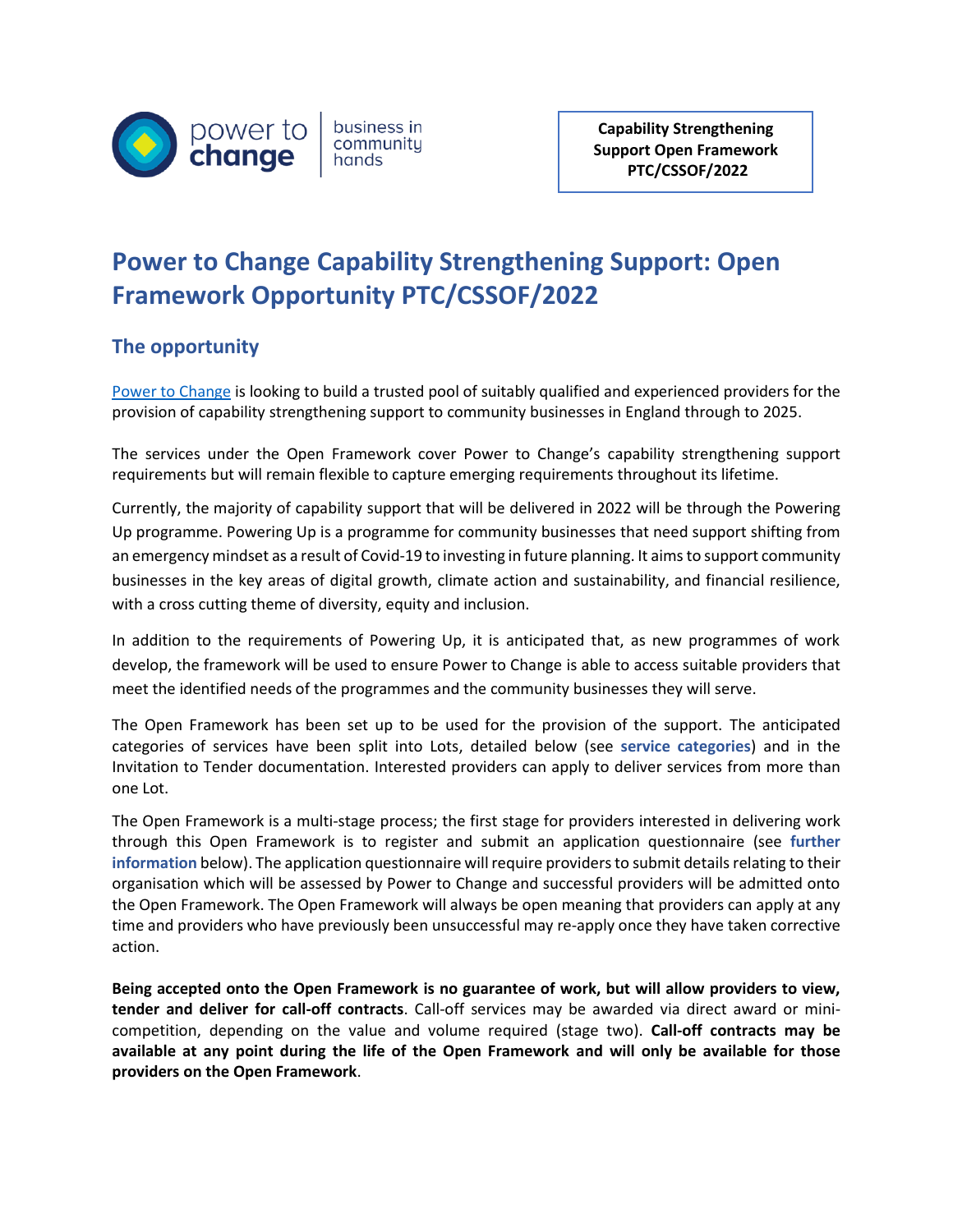

business in community hands

**Capability Strengthening Support Open Framework PTC/CSSOF/2022**

# **Power to Change Capability Strengthening Support: Open Framework Opportunity PTC/CSSOF/2022**

## **The opportunity**

[Power to Change](https://www.powertochange.org.uk/) is looking to build a trusted pool of suitably qualified and experienced providers for the provision of capability strengthening support to community businesses in England through to 2025.

The services under the Open Framework cover Power to Change's capability strengthening support requirements but will remain flexible to capture emerging requirements throughout its lifetime.

Currently, the majority of capability support that will be delivered in 2022 will be through the [Powering](https://www.powertochange.org.uk/our-work/our-programmes/powering-up/)  [Up](https://www.powertochange.org.uk/our-work/our-programmes/powering-up/) programme. Powering Up is a programme for community businesses that need support shifting from an emergency mindset as a result of Covid-19 to investing in future planning. It aims to support community businesses in the key areas of digital growth, climate action and sustainability, and financial resilience, with a cross cutting theme of diversity, equity and inclusion.

In addition to the requirements of Powering Up, it is anticipated that, as new programmes of work develop, the framework will be used to ensure Power to Change is able to access suitable providers that meet the identified needs of the programmes and the community businesses they will serve.

The Open Framework has been set up to be used for the provision of the support. The anticipated categories of services have been split into Lots, detailed below (see **service categories**) and in the Invitation to Tender documentation. Interested providers can apply to deliver services from more than one Lot.

The Open Framework is a multi-stage process; the first stage for providers interested in delivering work through this Open Framework is to register and submit an application questionnaire (see **further information** below). The application questionnaire will require providers to submit details relating to their organisation which will be assessed by Power to Change and successful providers will be admitted onto the Open Framework. The Open Framework will always be open meaning that providers can apply at any time and providers who have previously been unsuccessful may re-apply once they have taken corrective action.

**Being accepted onto the Open Framework is no guarantee of work, but will allow providers to view, tender and deliver for call-off contracts**. Call-off services may be awarded via direct award or minicompetition, depending on the value and volume required (stage two). **Call-off contracts may be available at any point during the life of the Open Framework and will only be available for those providers on the Open Framework**.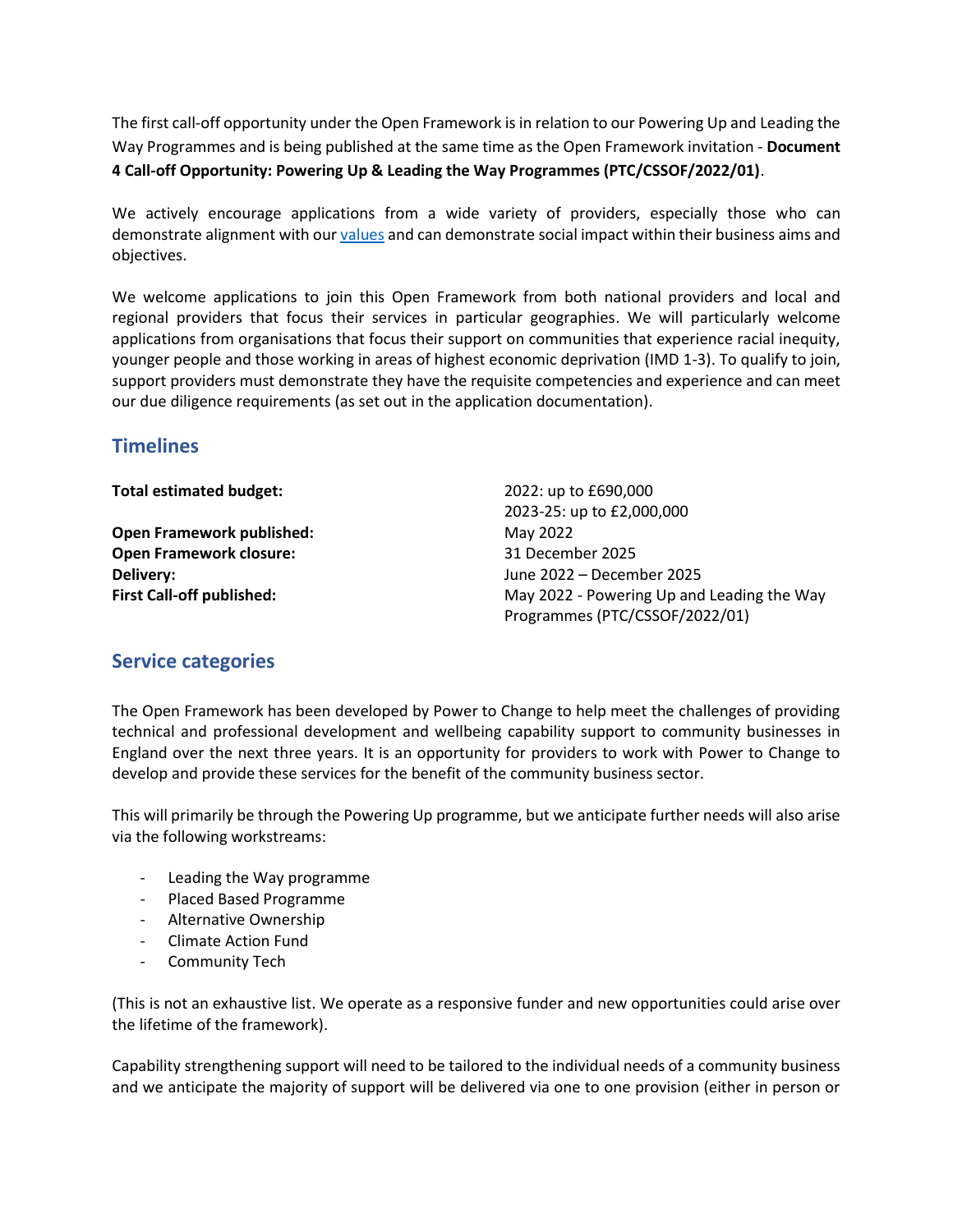The first call-off opportunity under the Open Framework is in relation to our Powering Up and Leading the Way Programmes and is being published at the same time as the Open Framework invitation - **Document 4 Call-off Opportunity: Powering Up & Leading the Way Programmes (PTC/CSSOF/2022/01)**.

We actively encourage applications from a wide variety of providers, especially those who can demonstrate alignment with ou[r values](https://www.powertochange.org.uk/about-us) and can demonstrate social impact within their business aims and objectives.

We welcome applications to join this Open Framework from both national providers and local and regional providers that focus their services in particular geographies. We will particularly welcome applications from organisations that focus their support on communities that experience racial inequity, younger people and those working in areas of highest economic deprivation (IMD 1-3). To qualify to join, support providers must demonstrate they have the requisite competencies and experience and can meet our due diligence requirements (as set out in the application documentation).

## **Timelines**

| <b>Total estimated budget:</b>   | 2022: up to £690,000                       |  |  |
|----------------------------------|--------------------------------------------|--|--|
|                                  | 2023-25: up to £2,000,000                  |  |  |
| <b>Open Framework published:</b> | May 2022                                   |  |  |
| <b>Open Framework closure:</b>   | 31 December 2025                           |  |  |
| Delivery:                        | June 2022 – December 2025                  |  |  |
| <b>First Call-off published:</b> | May 2022 - Powering Up and Leading the Way |  |  |
|                                  | Programmes (PTC/CSSOF/2022/01)             |  |  |

### **Service categories**

The Open Framework has been developed by Power to Change to help meet the challenges of providing technical and professional development and wellbeing capability support to community businesses in England over the next three years. It is an opportunity for providers to work with Power to Change to develop and provide these services for the benefit of the community business sector.

This will primarily be through the Powering Up programme, but we anticipate further needs will also arise via the following workstreams:

- Leading the Way programme
- Placed Based Programme
- Alternative Ownership
- Climate Action Fund
- Community Tech

(This is not an exhaustive list. We operate as a responsive funder and new opportunities could arise over the lifetime of the framework).

Capability strengthening support will need to be tailored to the individual needs of a community business and we anticipate the majority of support will be delivered via one to one provision (either in person or